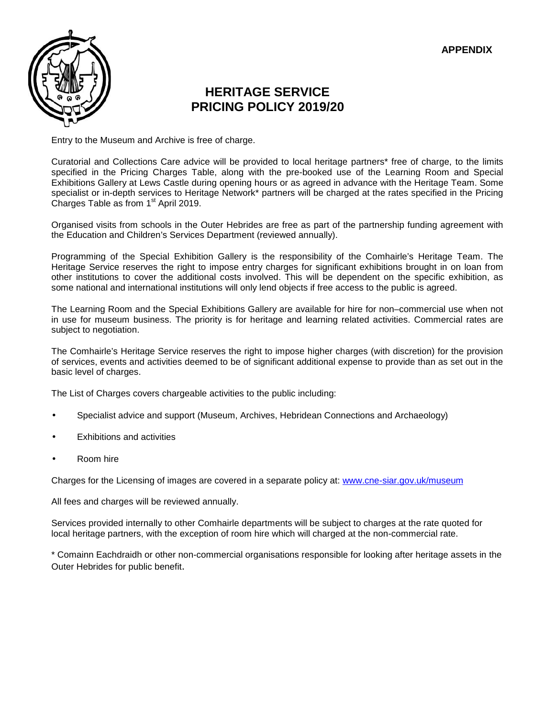

## **HERITAGE SERVICE PRICING POLICY 2019/20**

Entry to the Museum and Archive is free of charge.

Curatorial and Collections Care advice will be provided to local heritage partners\* free of charge, to the limits specified in the Pricing Charges Table, along with the pre-booked use of the Learning Room and Special Exhibitions Gallery at Lews Castle during opening hours or as agreed in advance with the Heritage Team. Some specialist or in-depth services to Heritage Network\* partners will be charged at the rates specified in the Pricing Charges Table as from  $1<sup>st</sup>$  April 2019.

Organised visits from schools in the Outer Hebrides are free as part of the partnership funding agreement with the Education and Children's Services Department (reviewed annually).

Programming of the Special Exhibition Gallery is the responsibility of the Comhairle's Heritage Team. The Heritage Service reserves the right to impose entry charges for significant exhibitions brought in on loan from other institutions to cover the additional costs involved. This will be dependent on the specific exhibition, as some national and international institutions will only lend objects if free access to the public is agreed.

The Learning Room and the Special Exhibitions Gallery are available for hire for non–commercial use when not in use for museum business. The priority is for heritage and learning related activities. Commercial rates are subject to negotiation.

The Comhairle's Heritage Service reserves the right to impose higher charges (with discretion) for the provision of services, events and activities deemed to be of significant additional expense to provide than as set out in the basic level of charges.

The List of Charges covers chargeable activities to the public including:

- Specialist advice and support (Museum, Archives, Hebridean Connections and Archaeology)
- Exhibitions and activities
- Room hire

Charges for the Licensing of images are covered in a separate policy at: www.cne-siar.gov.uk/museum

All fees and charges will be reviewed annually.

Services provided internally to other Comhairle departments will be subject to charges at the rate quoted for local heritage partners, with the exception of room hire which will charged at the non-commercial rate.

\* Comainn Eachdraidh or other non-commercial organisations responsible for looking after heritage assets in the Outer Hebrides for public benefit.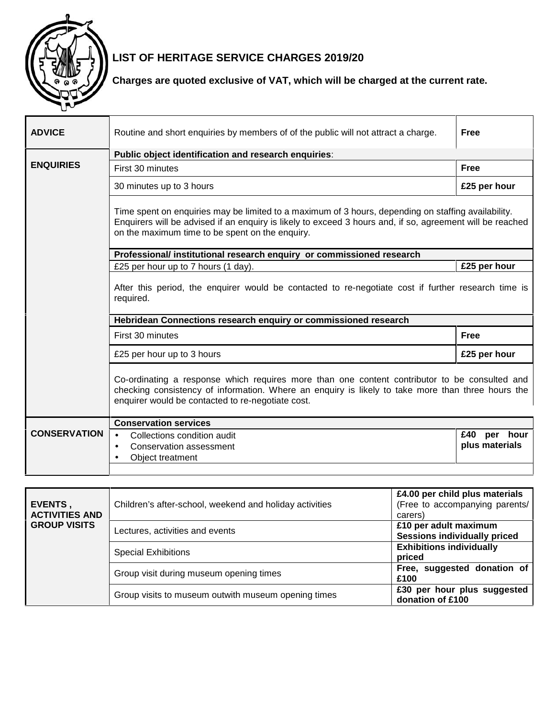

## **LIST OF HERITAGE SERVICE CHARGES 2019/20**

## **Charges are quoted exclusive of VAT, which will be charged at the current rate.**

| <b>ADVICE</b>       | Routine and short enquiries by members of of the public will not attract a charge.                                                                                                                                                                                  | <b>Free</b>                          |  |
|---------------------|---------------------------------------------------------------------------------------------------------------------------------------------------------------------------------------------------------------------------------------------------------------------|--------------------------------------|--|
|                     | Public object identification and research enquiries:                                                                                                                                                                                                                |                                      |  |
| <b>ENQUIRIES</b>    | First 30 minutes                                                                                                                                                                                                                                                    | <b>Free</b>                          |  |
|                     | 30 minutes up to 3 hours                                                                                                                                                                                                                                            | £25 per hour                         |  |
|                     | Time spent on enquiries may be limited to a maximum of 3 hours, depending on staffing availability.<br>Enquirers will be advised if an enquiry is likely to exceed 3 hours and, if so, agreement will be reached<br>on the maximum time to be spent on the enquiry. |                                      |  |
|                     | Professional/ institutional research enquiry or commissioned research                                                                                                                                                                                               |                                      |  |
|                     | £25 per hour up to 7 hours (1 day).                                                                                                                                                                                                                                 | £25 per hour                         |  |
|                     | After this period, the enquirer would be contacted to re-negotiate cost if further research time is<br>required.                                                                                                                                                    |                                      |  |
|                     | Hebridean Connections research enquiry or commissioned research                                                                                                                                                                                                     |                                      |  |
|                     | First 30 minutes                                                                                                                                                                                                                                                    | <b>Free</b>                          |  |
|                     | £25 per hour up to 3 hours                                                                                                                                                                                                                                          | £25 per hour                         |  |
|                     | Co-ordinating a response which requires more than one content contributor to be consulted and<br>checking consistency of information. Where an enquiry is likely to take more than three hours the<br>enquirer would be contacted to re-negotiate cost.             |                                      |  |
|                     | <b>Conservation services</b>                                                                                                                                                                                                                                        |                                      |  |
| <b>CONSERVATION</b> | Collections condition audit<br>$\bullet$                                                                                                                                                                                                                            | £40<br>hour<br>per<br>plus materials |  |

| EVENTS,<br><b>ACTIVITIES AND</b><br><b>GROUP VISITS</b> | Children's after-school, weekend and holiday activities | £4.00 per child plus materials<br>(Free to accompanying parents/<br>carers) |
|---------------------------------------------------------|---------------------------------------------------------|-----------------------------------------------------------------------------|
|                                                         | Lectures, activities and events                         | £10 per adult maximum<br><b>Sessions individually priced</b>                |
|                                                         | <b>Special Exhibitions</b>                              | <b>Exhibitions individually</b><br>priced                                   |
|                                                         | Group visit during museum opening times                 | Free, suggested donation of<br>£100                                         |
|                                                         | Group visits to museum outwith museum opening times     | £30 per hour plus suggested<br>donation of £100                             |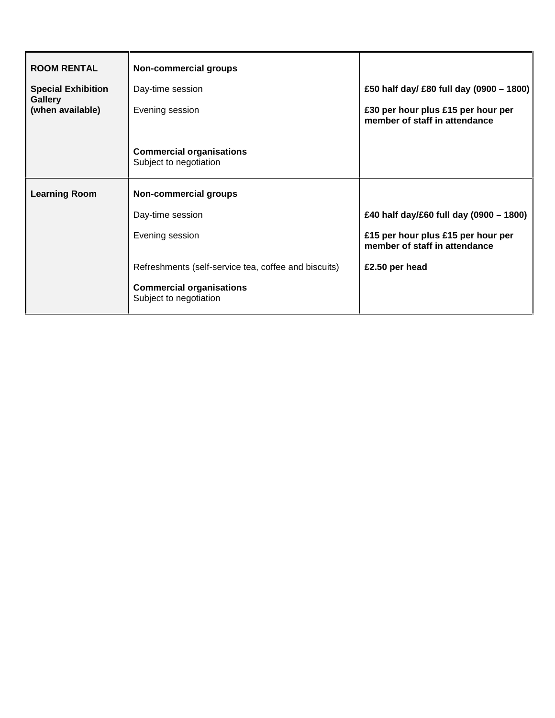| <b>ROOM RENTAL</b>                          | <b>Non-commercial groups</b>                              |                                                                     |
|---------------------------------------------|-----------------------------------------------------------|---------------------------------------------------------------------|
| <b>Special Exhibition</b><br><b>Gallery</b> | Day-time session                                          | £50 half day/ £80 full day (0900 - 1800)                            |
| (when available)                            | Evening session                                           | £30 per hour plus £15 per hour per<br>member of staff in attendance |
|                                             | <b>Commercial organisations</b><br>Subject to negotiation |                                                                     |
| <b>Learning Room</b>                        | Non-commercial groups                                     |                                                                     |
|                                             | Day-time session                                          | £40 half day/£60 full day (0900 - 1800)                             |
|                                             | Evening session                                           | £15 per hour plus £15 per hour per<br>member of staff in attendance |
|                                             | Refreshments (self-service tea, coffee and biscuits)      | £2.50 per head                                                      |
|                                             | <b>Commercial organisations</b><br>Subject to negotiation |                                                                     |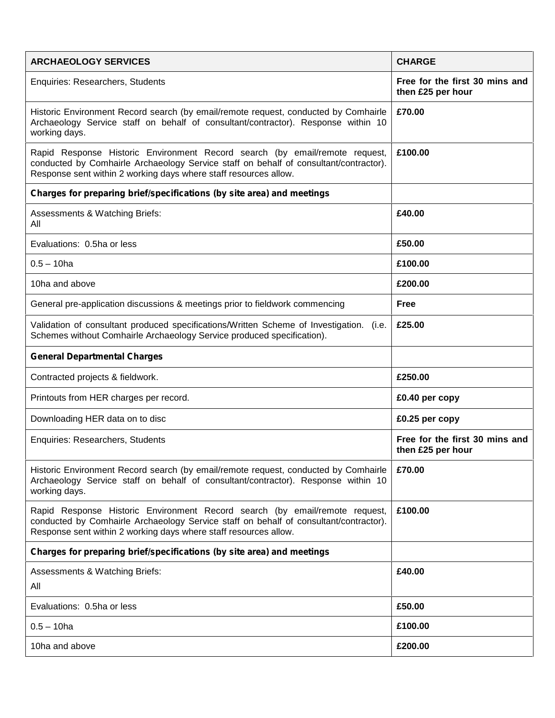| <b>ARCHAEOLOGY SERVICES</b>                                                                                                                                                                                                              | <b>CHARGE</b>                                       |
|------------------------------------------------------------------------------------------------------------------------------------------------------------------------------------------------------------------------------------------|-----------------------------------------------------|
| Enquiries: Researchers, Students                                                                                                                                                                                                         | Free for the first 30 mins and<br>then £25 per hour |
| Historic Environment Record search (by email/remote request, conducted by Comhairle<br>Archaeology Service staff on behalf of consultant/contractor). Response within 10<br>working days.                                                | £70.00                                              |
| Rapid Response Historic Environment Record search (by email/remote request,<br>conducted by Comhairle Archaeology Service staff on behalf of consultant/contractor).<br>Response sent within 2 working days where staff resources allow. | £100.00                                             |
| Charges for preparing brief/specifications (by site area) and meetings                                                                                                                                                                   |                                                     |
| Assessments & Watching Briefs:<br>All                                                                                                                                                                                                    | £40.00                                              |
| Evaluations: 0.5ha or less                                                                                                                                                                                                               | £50.00                                              |
| $0.5 - 10$ ha                                                                                                                                                                                                                            | £100.00                                             |
| 10ha and above                                                                                                                                                                                                                           | £200.00                                             |
| General pre-application discussions & meetings prior to fieldwork commencing                                                                                                                                                             | <b>Free</b>                                         |
| Validation of consultant produced specifications/Written Scheme of Investigation. (i.e.<br>Schemes without Comhairle Archaeology Service produced specification).                                                                        | £25.00                                              |
| <b>General Departmental Charges</b>                                                                                                                                                                                                      |                                                     |
| Contracted projects & fieldwork.                                                                                                                                                                                                         | £250.00                                             |
| Printouts from HER charges per record.                                                                                                                                                                                                   | £0.40 per copy                                      |
| Downloading HER data on to disc                                                                                                                                                                                                          | £0.25 per copy                                      |
| <b>Enquiries: Researchers, Students</b>                                                                                                                                                                                                  | Free for the first 30 mins and<br>then £25 per hour |
| Historic Environment Record search (by email/remote request, conducted by Comhairle<br>Archaeology Service staff on behalf of consultant/contractor). Response within 10<br>working days.                                                | £70.00                                              |
| Rapid Response Historic Environment Record search (by email/remote request,<br>conducted by Comhairle Archaeology Service staff on behalf of consultant/contractor).<br>Response sent within 2 working days where staff resources allow. | £100.00                                             |
| Charges for preparing brief/specifications (by site area) and meetings                                                                                                                                                                   |                                                     |
| Assessments & Watching Briefs:<br>All                                                                                                                                                                                                    | £40.00                                              |
| Evaluations: 0.5ha or less                                                                                                                                                                                                               | £50.00                                              |
| $0.5 - 10$ ha                                                                                                                                                                                                                            | £100.00                                             |
| 10ha and above                                                                                                                                                                                                                           | £200.00                                             |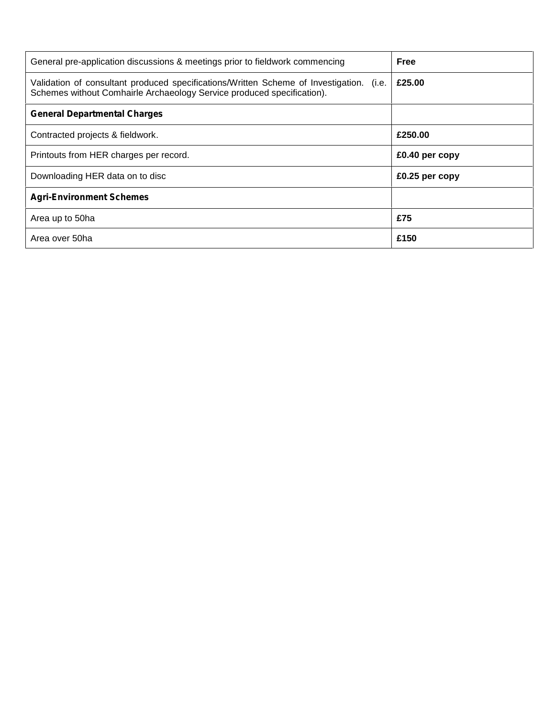| General pre-application discussions & meetings prior to fieldwork commencing                                                                                      | <b>Free</b>    |
|-------------------------------------------------------------------------------------------------------------------------------------------------------------------|----------------|
| Validation of consultant produced specifications/Written Scheme of Investigation. (i.e.<br>Schemes without Comhairle Archaeology Service produced specification). | £25.00         |
| <b>General Departmental Charges</b>                                                                                                                               |                |
| Contracted projects & fieldwork.                                                                                                                                  | £250.00        |
| Printouts from HER charges per record.                                                                                                                            | £0.40 per copy |
| Downloading HER data on to disc                                                                                                                                   | £0.25 per copy |
| <b>Agri-Environment Schemes</b>                                                                                                                                   |                |
| Area up to 50ha                                                                                                                                                   | £75            |
| Area over 50ha                                                                                                                                                    | £150           |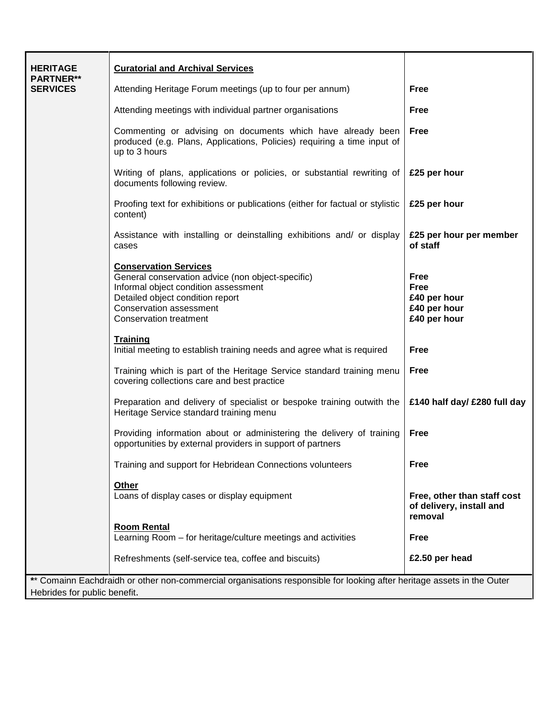| <b>HERITAGE</b>                     | <b>Curatorial and Archival Services</b>                                                                                                                                                                            |                                                                     |  |
|-------------------------------------|--------------------------------------------------------------------------------------------------------------------------------------------------------------------------------------------------------------------|---------------------------------------------------------------------|--|
| <b>PARTNER**</b><br><b>SERVICES</b> | Attending Heritage Forum meetings (up to four per annum)                                                                                                                                                           | <b>Free</b>                                                         |  |
|                                     | Attending meetings with individual partner organisations                                                                                                                                                           | <b>Free</b>                                                         |  |
|                                     | Commenting or advising on documents which have already been<br>produced (e.g. Plans, Applications, Policies) requiring a time input of<br>up to 3 hours                                                            | <b>Free</b>                                                         |  |
|                                     | Writing of plans, applications or policies, or substantial rewriting of<br>documents following review.                                                                                                             | £25 per hour                                                        |  |
|                                     | Proofing text for exhibitions or publications (either for factual or stylistic<br>content)                                                                                                                         | £25 per hour                                                        |  |
|                                     | Assistance with installing or deinstalling exhibitions and/ or display<br>cases                                                                                                                                    | £25 per hour per member<br>of staff                                 |  |
|                                     | <b>Conservation Services</b><br>General conservation advice (non object-specific)<br>Informal object condition assessment<br>Detailed object condition report<br>Conservation assessment<br>Conservation treatment | <b>Free</b><br>Free<br>£40 per hour<br>£40 per hour<br>£40 per hour |  |
|                                     | <b>Training</b><br>Initial meeting to establish training needs and agree what is required                                                                                                                          | <b>Free</b>                                                         |  |
|                                     | Training which is part of the Heritage Service standard training menu<br>covering collections care and best practice                                                                                               | <b>Free</b>                                                         |  |
|                                     | Preparation and delivery of specialist or bespoke training outwith the<br>Heritage Service standard training menu                                                                                                  | £140 half day/ £280 full day                                        |  |
|                                     | Providing information about or administering the delivery of training<br>opportunities by external providers in support of partners                                                                                | <b>Free</b>                                                         |  |
|                                     | Training and support for Hebridean Connections volunteers                                                                                                                                                          | <b>Free</b>                                                         |  |
|                                     | <b>Other</b><br>Loans of display cases or display equipment                                                                                                                                                        | Free, other than staff cost<br>of delivery, install and<br>removal  |  |
|                                     | <b>Room Rental</b><br>Learning Room – for heritage/culture meetings and activities                                                                                                                                 | <b>Free</b>                                                         |  |
|                                     | Refreshments (self-service tea, coffee and biscuits)                                                                                                                                                               | £2.50 per head                                                      |  |
|                                     | ** Comainn Eachdraidh or other non-commercial organisations responsible for looking after heritage assets in the Outer                                                                                             |                                                                     |  |
| Hebrides for public benefit.        |                                                                                                                                                                                                                    |                                                                     |  |